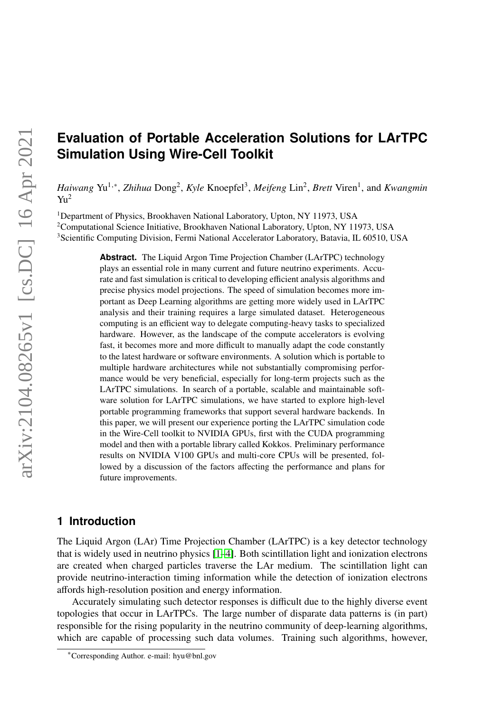# **Evaluation of Portable Acceleration Solutions for LArTPC Simulation Using Wire-Cell Toolkit**

*Haiwang Yu<sup>1,∗</sup>, Zhihua* Dong<sup>2</sup>, *Kyle* Knoepfel<sup>3</sup>, *Meifeng* Lin<sup>2</sup>, *Brett* Viren<sup>1</sup>, and *Kwangmin*  $Y<sub>U</sub><sup>2</sup>$ 

<sup>1</sup>Department of Physics, Brookhaven National Laboratory, Upton, NY 11973, USA <sup>2</sup>Computational Science Initiative, Brookhaven National Laboratory, Upton, NY 11973, USA <sup>3</sup>Scientific Computing Division, Fermi National Accelerator Laboratory, Batavia, IL 60510, USA

> **Abstract.** The Liquid Argon Time Projection Chamber (LArTPC) technology plays an essential role in many current and future neutrino experiments. Accurate and fast simulation is critical to developing efficient analysis algorithms and precise physics model projections. The speed of simulation becomes more important as Deep Learning algorithms are getting more widely used in LArTPC analysis and their training requires a large simulated dataset. Heterogeneous computing is an efficient way to delegate computing-heavy tasks to specialized hardware. However, as the landscape of the compute accelerators is evolving fast, it becomes more and more difficult to manually adapt the code constantly to the latest hardware or software environments. A solution which is portable to multiple hardware architectures while not substantially compromising performance would be very beneficial, especially for long-term projects such as the LArTPC simulations. In search of a portable, scalable and maintainable software solution for LArTPC simulations, we have started to explore high-level portable programming frameworks that support several hardware backends. In this paper, we will present our experience porting the LArTPC simulation code in the Wire-Cell toolkit to NVIDIA GPUs, first with the CUDA programming model and then with a portable library called Kokkos. Preliminary performance results on NVIDIA V100 GPUs and multi-core CPUs will be presented, followed by a discussion of the factors affecting the performance and plans for future improvements.

### **1 Introduction**

The Liquid Argon (LAr) Time Projection Chamber (LArTPC) is a key detector technology that is widely used in neutrino physics [\[1](#page-9-0)[–4\]](#page-9-1). Both scintillation light and ionization electrons are created when charged particles traverse the LAr medium. The scintillation light can provide neutrino-interaction timing information while the detection of ionization electrons affords high-resolution position and energy information.

Accurately simulating such detector responses is difficult due to the highly diverse event topologies that occur in LArTPCs. The large number of disparate data patterns is (in part) responsible for the rising popularity in the neutrino community of deep-learning algorithms, which are capable of processing such data volumes. Training such algorithms, however,

<sup>∗</sup>Corresponding Author. e-mail: hyu@bnl.gov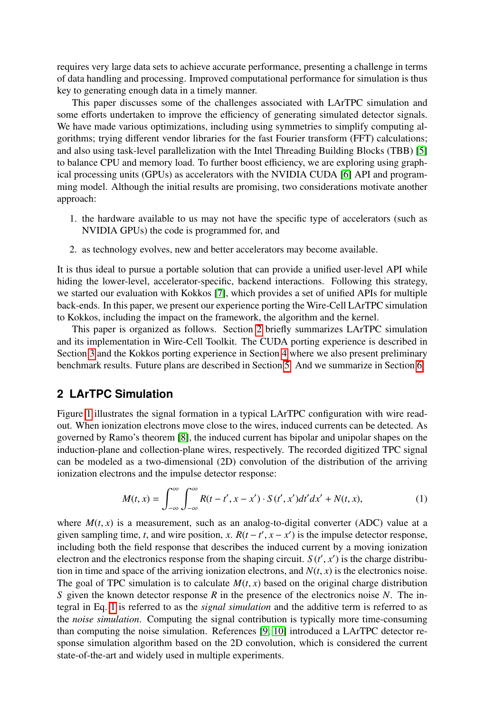requires very large data sets to achieve accurate performance, presenting a challenge in terms of data handling and processing. Improved computational performance for simulation is thus key to generating enough data in a timely manner.

This paper discusses some of the challenges associated with LArTPC simulation and some efforts undertaken to improve the efficiency of generating simulated detector signals. We have made various optimizations, including using symmetries to simplify computing algorithms; trying different vendor libraries for the fast Fourier transform (FFT) calculations; and also using task-level parallelization with the Intel Threading Building Blocks (TBB) [\[5\]](#page-9-2) to balance CPU and memory load. To further boost efficiency, we are exploring using graphical processing units (GPUs) as accelerators with the NVIDIA CUDA [\[6\]](#page-9-3) API and programming model. Although the initial results are promising, two considerations motivate another approach:

- 1. the hardware available to us may not have the specific type of accelerators (such as NVIDIA GPUs) the code is programmed for, and
- 2. as technology evolves, new and better accelerators may become available.

It is thus ideal to pursue a portable solution that can provide a unified user-level API while hiding the lower-level, accelerator-specific, backend interactions. Following this strategy, we started our evaluation with Kokkos [\[7\]](#page-9-4), which provides a set of unified APIs for multiple back-ends. In this paper, we present our experience porting the Wire-Cell LArTPC simulation to Kokkos, including the impact on the framework, the algorithm and the kernel.

This paper is organized as follows. Section [2](#page-1-0) briefly summarizes LArTPC simulation and its implementation in Wire-Cell Toolkit. The CUDA porting experience is described in Section [3](#page-3-0) and the Kokkos porting experience in Section [4](#page-4-0) where we also present preliminary benchmark results. Future plans are described in Section [5.](#page-7-0) And we summarize in Section [6.](#page-8-0)

### <span id="page-1-0"></span>**2 LArTPC Simulation**

Figure [1](#page-2-0) illustrates the signal formation in a typical LArTPC configuration with wire readout. When ionization electrons move close to the wires, induced currents can be detected. As governed by Ramo's theorem [\[8\]](#page-9-5), the induced current has bipolar and unipolar shapes on the induction-plane and collection-plane wires, respectively. The recorded digitized TPC signal can be modeled as a two-dimensional (2D) convolution of the distribution of the arriving ionization electrons and the impulse detector response:

<span id="page-1-1"></span>
$$
M(t,x) = \int_{-\infty}^{\infty} \int_{-\infty}^{\infty} R(t-t',x-x') \cdot S(t',x')dt'dx' + N(t,x), \qquad (1)
$$

where  $M(t, x)$  is a measurement, such as an analog-to-digital converter (ADC) value at a given sampling time, *t*, and wire position, *x*.  $R(t - t', x - x')$  is the impulse detector response, including both the field response that describes the induced current by a moving ionization including both the field response that describes the induced current by a moving ionization electron and the electronics response from the shaping circuit.  $S(t', x')$  is the charge distribu-<br>tion in time and space of the arriving ionization electrons and  $N(t, x)$  is the electronics poise tion in time and space of the arriving ionization electrons, and  $N(t, x)$  is the electronics noise. The goal of TPC simulation is to calculate  $M(t, x)$  based on the original charge distribution *S* given the known detector response *R* in the presence of the electronics noise *N*. The integral in Eq. [1](#page-1-1) is referred to as the *signal simulation* and the additive term is referred to as the *noise simulation*. Computing the signal contribution is typically more time-consuming than computing the noise simulation. References [\[9,](#page-9-6) [10\]](#page-9-7) introduced a LArTPC detector response simulation algorithm based on the 2D convolution, which is considered the current state-of-the-art and widely used in multiple experiments.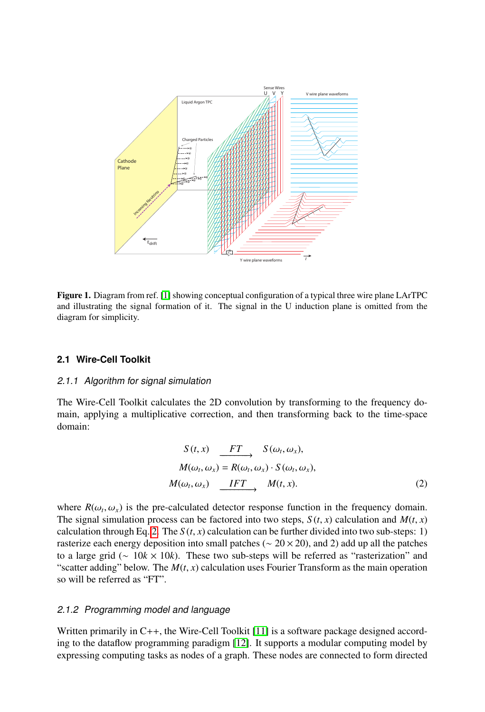

<span id="page-2-0"></span>Figure 1. Diagram from ref. [\[1\]](#page-9-0) showing conceptual configuration of a typical three wire plane LArTPC and illustrating the signal formation of it. The signal in the U induction plane is omitted from the diagram for simplicity.

#### **2.1 Wire-Cell Toolkit**

#### 2.1.1 Algorithm for signal simulation

The Wire-Cell Toolkit calculates the 2D convolution by transforming to the frequency domain, applying a multiplicative correction, and then transforming back to the time-space domain:

<span id="page-2-1"></span>
$$
S(t, x) \xrightarrow{FT} S(\omega_t, \omega_x),
$$
  
\n
$$
M(\omega_t, \omega_x) = R(\omega_t, \omega_x) \cdot S(\omega_t, \omega_x),
$$
  
\n
$$
M(\omega_t, \omega_x) \xrightarrow{IFT} M(t, x).
$$
\n(2)

where  $R(\omega_t, \omega_x)$  is the pre-calculated detector response function in the frequency domain.<br>The signal simulation process can be factored into two steps,  $S(t, x)$  calculation and  $M(t, x)$ The signal simulation process can be factored into two steps,  $S(t, x)$  calculation and  $M(t, x)$ calculation through Eq. [2.](#page-2-1) The  $S(t, x)$  calculation can be further divided into two sub-steps: 1) rasterize each energy deposition into small patches ( $\sim$  20  $\times$  20), and 2) add up all the patches to a large grid (∼ 10*k* × 10*k*). These two sub-steps will be referred as "rasterization" and "scatter adding" below. The  $M(t, x)$  calculation uses Fourier Transform as the main operation so will be referred as "FT".

#### 2.1.2 Programming model and language

Written primarily in C++, the Wire-Cell Toolkit [\[11\]](#page-9-8) is a software package designed according to the dataflow programming paradigm [\[12\]](#page-9-9). It supports a modular computing model by expressing computing tasks as nodes of a graph. These nodes are connected to form directed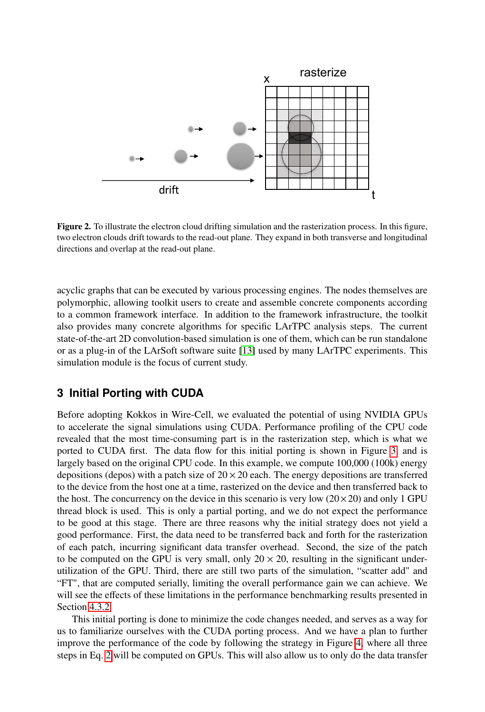

Figure 2. To illustrate the electron cloud drifting simulation and the rasterization process. In this figure, two electron clouds drift towards to the read-out plane. They expand in both transverse and longitudinal directions and overlap at the read-out plane.

acyclic graphs that can be executed by various processing engines. The nodes themselves are polymorphic, allowing toolkit users to create and assemble concrete components according to a common framework interface. In addition to the framework infrastructure, the toolkit also provides many concrete algorithms for specific LArTPC analysis steps. The current state-of-the-art 2D convolution-based simulation is one of them, which can be run standalone or as a plug-in of the LArSoft software suite [\[13\]](#page-9-10) used by many LArTPC experiments. This simulation module is the focus of current study.

#### <span id="page-3-0"></span>**3 Initial Porting with CUDA**

Before adopting Kokkos in Wire-Cell, we evaluated the potential of using NVIDIA GPUs to accelerate the signal simulations using CUDA. Performance profiling of the CPU code revealed that the most time-consuming part is in the rasterization step, which is what we ported to CUDA first. The data flow for this initial porting is shown in Figure [3,](#page-4-1) and is largely based on the original CPU code. In this example, we compute 100,000 (100k) energy depositions (depos) with a patch size of  $20 \times 20$  each. The energy depositions are transferred to the device from the host one at a time, rasterized on the device and then transferred back to the host. The concurrency on the device in this scenario is very low  $(20 \times 20)$  and only 1 GPU thread block is used. This is only a partial porting, and we do not expect the performance to be good at this stage. There are three reasons why the initial strategy does not yield a good performance. First, the data need to be transferred back and forth for the rasterization of each patch, incurring significant data transfer overhead. Second, the size of the patch to be computed on the GPU is very small, only  $20 \times 20$ , resulting in the significant underutilization of the GPU. Third, there are still two parts of the simulation, "scatter add" and "FT", that are computed serially, limiting the overall performance gain we can achieve. We will see the effects of these limitations in the performance benchmarking results presented in Section [4.3.2.](#page-6-0)

This initial porting is done to minimize the code changes needed, and serves as a way for us to familiarize ourselves with the CUDA porting process. And we have a plan to further improve the performance of the code by following the strategy in Figure [4,](#page-4-2) where all three steps in Eq. [2](#page-2-1) will be computed on GPUs. This will also allow us to only do the data transfer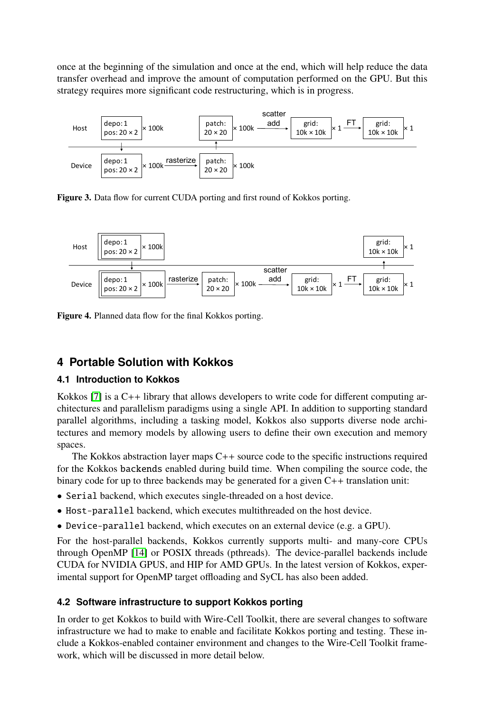once at the beginning of the simulation and once at the end, which will help reduce the data transfer overhead and improve the amount of computation performed on the GPU. But this strategy requires more significant code restructuring, which is in progress.



<span id="page-4-1"></span>Figure 3. Data flow for current CUDA porting and first round of Kokkos porting.



<span id="page-4-2"></span>Figure 4. Planned data flow for the final Kokkos porting.

## <span id="page-4-0"></span>**4 Portable Solution with Kokkos**

## **4.1 Introduction to Kokkos**

Kokkos [\[7\]](#page-9-4) is a C++ library that allows developers to write code for different computing architectures and parallelism paradigms using a single API. In addition to supporting standard parallel algorithms, including a tasking model, Kokkos also supports diverse node architectures and memory models by allowing users to define their own execution and memory spaces.

The Kokkos abstraction layer maps C++ source code to the specific instructions required for the Kokkos backends enabled during build time. When compiling the source code, the binary code for up to three backends may be generated for a given C++ translation unit:

- Serial backend, which executes single-threaded on a host device.
- Host-parallel backend, which executes multithreaded on the host device.
- Device-parallel backend, which executes on an external device (e.g. a GPU).

For the host-parallel backends, Kokkos currently supports multi- and many-core CPUs through OpenMP [\[14\]](#page-9-11) or POSIX threads (pthreads). The device-parallel backends include CUDA for NVIDIA GPUS, and HIP for AMD GPUs. In the latest version of Kokkos, experimental support for OpenMP target offloading and SyCL has also been added.

## **4.2 Software infrastructure to support Kokkos porting**

In order to get Kokkos to build with Wire-Cell Toolkit, there are several changes to software infrastructure we had to make to enable and facilitate Kokkos porting and testing. These include a Kokkos-enabled container environment and changes to the Wire-Cell Toolkit framework, which will be discussed in more detail below.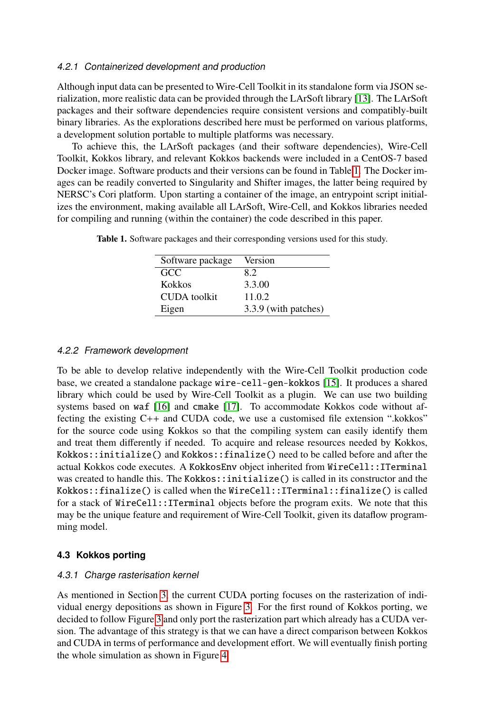#### <span id="page-5-1"></span>4.2.1 Containerized development and production

Although input data can be presented to Wire-Cell Toolkit in its standalone form via JSON serialization, more realistic data can be provided through the LArSoft library [\[13\]](#page-9-10). The LArSoft packages and their software dependencies require consistent versions and compatibly-built binary libraries. As the explorations described here must be performed on various platforms, a development solution portable to multiple platforms was necessary.

To achieve this, the LArSoft packages (and their software dependencies), Wire-Cell Toolkit, Kokkos library, and relevant Kokkos backends were included in a CentOS-7 based Docker image. Software products and their versions can be found in Table [1.](#page-5-0) The Docker images can be readily converted to Singularity and Shifter images, the latter being required by NERSC's Cori platform. Upon starting a container of the image, an entrypoint script initializes the environment, making available all LArSoft, Wire-Cell, and Kokkos libraries needed for compiling and running (within the container) the code described in this paper.

<span id="page-5-0"></span>

| Software package | Version              |
|------------------|----------------------|
| <b>GCC</b>       | 8.2                  |
| Kokkos           | 3.3.00               |
| CUDA toolkit     | 11.0.2               |
| Eigen            | 3.3.9 (with patches) |

Table 1. Software packages and their corresponding versions used for this study.

#### 4.2.2 Framework development

To be able to develop relative independently with the Wire-Cell Toolkit production code base, we created a standalone package wire-cell-gen-kokkos [\[15\]](#page-9-12). It produces a shared library which could be used by Wire-Cell Toolkit as a plugin. We can use two building systems based on waf [\[16\]](#page-9-13) and cmake [\[17\]](#page-9-14). To accommodate Kokkos code without affecting the existing C++ and CUDA code, we use a customised file extension ".kokkos" for the source code using Kokkos so that the compiling system can easily identify them and treat them differently if needed. To acquire and release resources needed by Kokkos, Kokkos::initialize() and Kokkos::finalize() need to be called before and after the actual Kokkos code executes. A KokkosEnv object inherited from WireCell::ITerminal was created to handle this. The Kokkos::initialize() is called in its constructor and the Kokkos::finalize() is called when the WireCell::ITerminal::finalize() is called for a stack of WireCell::ITerminal objects before the program exits. We note that this may be the unique feature and requirement of Wire-Cell Toolkit, given its dataflow programming model.

#### **4.3 Kokkos porting**

#### <span id="page-5-2"></span>4.3.1 Charge rasterisation kernel

As mentioned in Section [3,](#page-3-0) the current CUDA porting focuses on the rasterization of individual energy depositions as shown in Figure [3.](#page-4-1) For the first round of Kokkos porting, we decided to follow Figure [3](#page-4-1) and only port the rasterization part which already has a CUDA version. The advantage of this strategy is that we can have a direct comparison between Kokkos and CUDA in terms of performance and development effort. We will eventually finish porting the whole simulation as shown in Figure [4.](#page-4-2)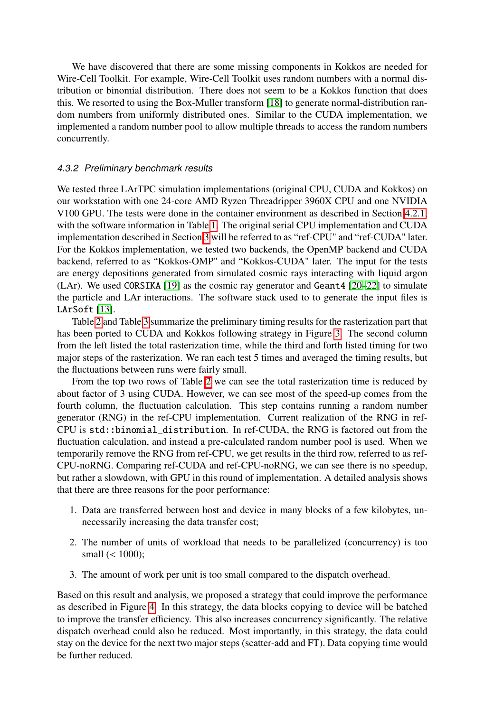We have discovered that there are some missing components in Kokkos are needed for Wire-Cell Toolkit. For example, Wire-Cell Toolkit uses random numbers with a normal distribution or binomial distribution. There does not seem to be a Kokkos function that does this. We resorted to using the Box-Muller transform [\[18\]](#page-9-15) to generate normal-distribution random numbers from uniformly distributed ones. Similar to the CUDA implementation, we implemented a random number pool to allow multiple threads to access the random numbers concurrently.

#### <span id="page-6-0"></span>4.3.2 Preliminary benchmark results

We tested three LArTPC simulation implementations (original CPU, CUDA and Kokkos) on our workstation with one 24-core AMD Ryzen Threadripper 3960X CPU and one NVIDIA V100 GPU. The tests were done in the container environment as described in Section [4.2.1,](#page-5-1) with the software information in Table [1.](#page-5-0) The original serial CPU implementation and CUDA implementation described in Section [3](#page-3-0) will be referred to as "ref-CPU" and "ref-CUDA" later. For the Kokkos implementation, we tested two backends, the OpenMP backend and CUDA backend, referred to as "Kokkos-OMP" and "Kokkos-CUDA" later. The input for the tests are energy depositions generated from simulated cosmic rays interacting with liquid argon (LAr). We used CORSIKA [\[19\]](#page-9-16) as the cosmic ray generator and Geant4 [\[20–](#page-9-17)[22\]](#page-9-18) to simulate the particle and LAr interactions. The software stack used to to generate the input files is LArSoft [\[13\]](#page-9-10).

Table [2](#page-7-1) and Table [3](#page-7-2) summarize the preliminary timing results for the rasterization part that has been ported to CUDA and Kokkos following strategy in Figure [3.](#page-4-1) The second column from the left listed the total rasterization time, while the third and forth listed timing for two major steps of the rasterization. We ran each test 5 times and averaged the timing results, but the fluctuations between runs were fairly small.

From the top two rows of Table [2](#page-7-1) we can see the total rasterization time is reduced by about factor of 3 using CUDA. However, we can see most of the speed-up comes from the fourth column, the fluctuation calculation. This step contains running a random number generator (RNG) in the ref-CPU implementation. Current realization of the RNG in ref-CPU is std::binomial\_distribution. In ref-CUDA, the RNG is factored out from the fluctuation calculation, and instead a pre-calculated random number pool is used. When we temporarily remove the RNG from ref-CPU, we get results in the third row, referred to as ref-CPU-noRNG. Comparing ref-CUDA and ref-CPU-noRNG, we can see there is no speedup, but rather a slowdown, with GPU in this round of implementation. A detailed analysis shows that there are three reasons for the poor performance:

- 1. Data are transferred between host and device in many blocks of a few kilobytes, unnecessarily increasing the data transfer cost;
- 2. The number of units of workload that needs to be parallelized (concurrency) is too small (< 1000);
- 3. The amount of work per unit is too small compared to the dispatch overhead.

Based on this result and analysis, we proposed a strategy that could improve the performance as described in Figure [4.](#page-4-2) In this strategy, the data blocks copying to device will be batched to improve the transfer efficiency. This also increases concurrency significantly. The relative dispatch overhead could also be reduced. Most importantly, in this strategy, the data could stay on the device for the next two major steps (scatter-add and FT). Data copying time would be further reduced.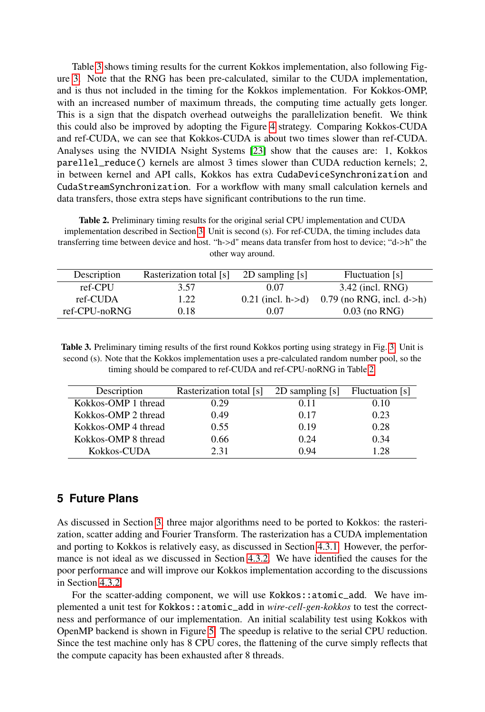Table [3](#page-7-2) shows timing results for the current Kokkos implementation, also following Figure [3.](#page-4-1) Note that the RNG has been pre-calculated, similar to the CUDA implementation, and is thus not included in the timing for the Kokkos implementation. For Kokkos-OMP, with an increased number of maximum threads, the computing time actually gets longer. This is a sign that the dispatch overhead outweighs the parallelization benefit. We think this could also be improved by adopting the Figure [4](#page-4-2) strategy. Comparing Kokkos-CUDA and ref-CUDA, we can see that Kokkos-CUDA is about two times slower than ref-CUDA. Analyses using the NVIDIA Nsight Systems [\[23\]](#page-9-19) show that the causes are: 1, Kokkos parellel\_reduce() kernels are almost 3 times slower than CUDA reduction kernels; 2, in between kernel and API calls, Kokkos has extra CudaDeviceSynchronization and CudaStreamSynchronization. For a workflow with many small calculation kernels and data transfers, those extra steps have significant contributions to the run time.

<span id="page-7-1"></span>Table 2. Preliminary timing results for the original serial CPU implementation and CUDA implementation described in Section [3.](#page-3-0) Unit is second (s). For ref-CUDA, the timing includes data transferring time between device and host. "h->d" means data transfer from host to device; "d->h" the other way around.

| Description   | Rasterization total [s] | 2D sampling [s]     | <b>Fluctuation</b> [s]      |
|---------------|-------------------------|---------------------|-----------------------------|
| $ref_CPI$     | 3.57                    | 0.07                | $3.42$ (incl. RNG)          |
| ref-CUDA      | 1.22                    | $0.21$ (incl. h->d) | $0.79$ (no RNG, incl. d->h) |
| ref-CPU-noRNG | 0.18                    | 0.07                | $0.03$ (no RNG)             |

<span id="page-7-2"></span>Table [3.](#page-4-1) Preliminary timing results of the first round Kokkos porting using strategy in Fig. 3. Unit is second (s). Note that the Kokkos implementation uses a pre-calculated random number pool, so the timing should be compared to ref-CUDA and ref-CPU-noRNG in Table [2.](#page-7-1)

| Description         | Rasterization total [s] | 2D sampling [s] | Fluctuation [s] |
|---------------------|-------------------------|-----------------|-----------------|
| Kokkos-OMP 1 thread | 0.29                    | 0.11            | 0.10            |
| Kokkos-OMP 2 thread | 0.49                    | 0.17            | 0.23            |
| Kokkos-OMP 4 thread | 0.55                    | 0.19            | 0.28            |
| Kokkos-OMP 8 thread | 0.66                    | 0.24            | 0.34            |
| Kokkos-CUDA         | 2.31                    | O 94            | .28             |

## <span id="page-7-0"></span>**5 Future Plans**

As discussed in Section [3,](#page-3-0) three major algorithms need to be ported to Kokkos: the rasterization, scatter adding and Fourier Transform. The rasterization has a CUDA implementation and porting to Kokkos is relatively easy, as discussed in Section [4.3.1.](#page-5-2) However, the performance is not ideal as we discussed in Section [4.3.2.](#page-6-0) We have identified the causes for the poor performance and will improve our Kokkos implementation according to the discussions in Section [4.3.2.](#page-6-0)

For the scatter-adding component, we will use Kokkos: : atomic\_add. We have implemented a unit test for Kokkos::atomic\_add in *wire-cell-gen-kokkos* to test the correctness and performance of our implementation. An initial scalability test using Kokkos with OpenMP backend is shown in Figure [5.](#page-8-1) The speedup is relative to the serial CPU reduction. Since the test machine only has 8 CPU cores, the flattening of the curve simply reflects that the compute capacity has been exhausted after 8 threads.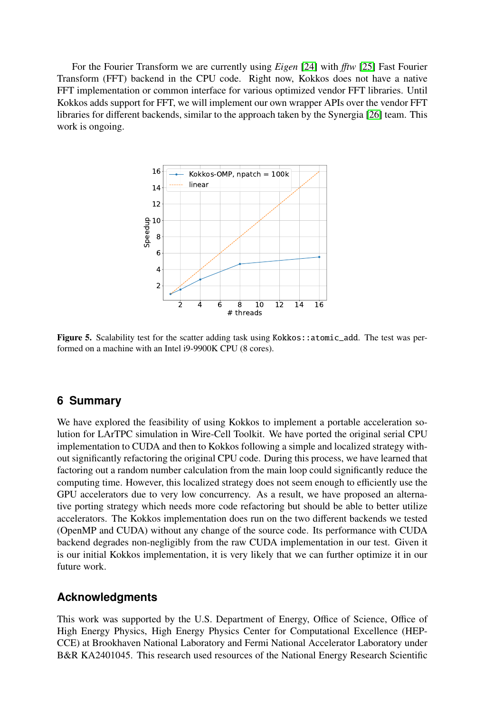For the Fourier Transform we are currently using *Eigen* [\[24\]](#page-9-20) with ff*tw* [\[25\]](#page-9-21) Fast Fourier Transform (FFT) backend in the CPU code. Right now, Kokkos does not have a native FFT implementation or common interface for various optimized vendor FFT libraries. Until Kokkos adds support for FFT, we will implement our own wrapper APIs over the vendor FFT libraries for different backends, similar to the approach taken by the Synergia [\[26\]](#page-9-22) team. This work is ongoing.



<span id="page-8-1"></span>Figure 5. Scalability test for the scatter adding task using Kokkos:: atomic\_add. The test was performed on a machine with an Intel i9-9900K CPU (8 cores).

## <span id="page-8-0"></span>**6 Summary**

We have explored the feasibility of using Kokkos to implement a portable acceleration solution for LArTPC simulation in Wire-Cell Toolkit. We have ported the original serial CPU implementation to CUDA and then to Kokkos following a simple and localized strategy without significantly refactoring the original CPU code. During this process, we have learned that factoring out a random number calculation from the main loop could significantly reduce the computing time. However, this localized strategy does not seem enough to efficiently use the GPU accelerators due to very low concurrency. As a result, we have proposed an alternative porting strategy which needs more code refactoring but should be able to better utilize accelerators. The Kokkos implementation does run on the two different backends we tested (OpenMP and CUDA) without any change of the source code. Its performance with CUDA backend degrades non-negligibly from the raw CUDA implementation in our test. Given it is our initial Kokkos implementation, it is very likely that we can further optimize it in our future work.

#### **Acknowledgments**

This work was supported by the U.S. Department of Energy, Office of Science, Office of High Energy Physics, High Energy Physics Center for Computational Excellence (HEP-CCE) at Brookhaven National Laboratory and Fermi National Accelerator Laboratory under B&R KA2401045. This research used resources of the National Energy Research Scientific